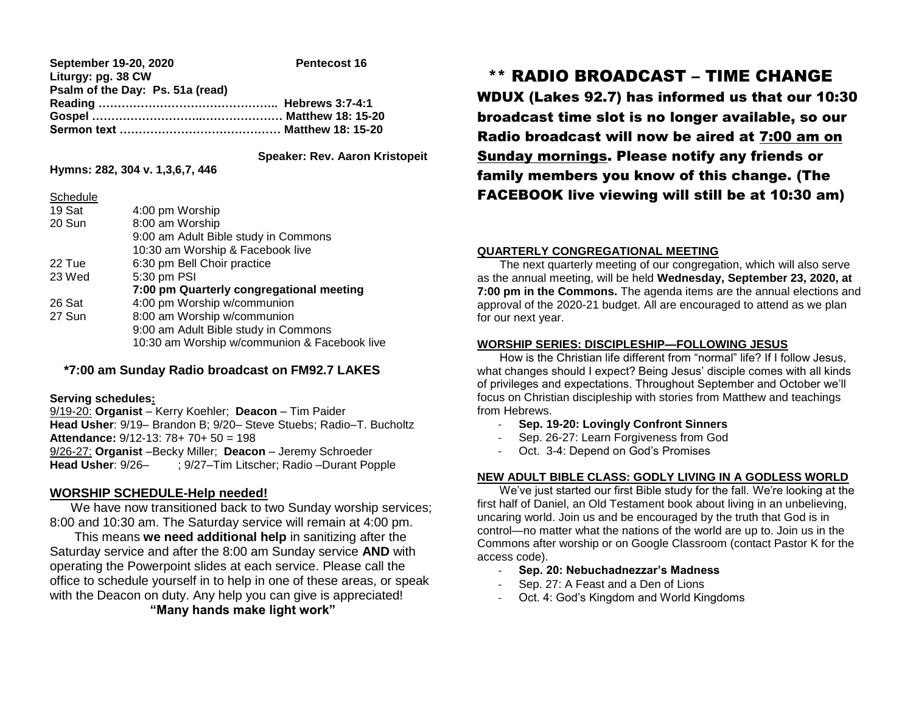| September 19-20, 2020            | Pentecost 16 |
|----------------------------------|--------------|
| Liturgy: pg. 38 CW               |              |
| Psalm of the Day: Ps. 51a (read) |              |
|                                  |              |
|                                  |              |
|                                  |              |

 **Speaker: Rev. Aaron Kristopeit**

**Hymns: 282, 304 v. 1,3,6,7, 446**

| Schedule |                                              |
|----------|----------------------------------------------|
| 19 Sat   | 4:00 pm Worship                              |
| 20 Sun   | 8:00 am Worship                              |
|          | 9:00 am Adult Bible study in Commons         |
|          | 10:30 am Worship & Facebook live             |
| 22 Tue   | 6:30 pm Bell Choir practice                  |
| 23 Wed   | 5:30 pm PSI                                  |
|          | 7:00 pm Quarterly congregational meeting     |
| 26 Sat   | 4:00 pm Worship w/communion                  |
| 27 Sun   | 8:00 am Worship w/communion                  |
|          | 9:00 am Adult Bible study in Commons         |
|          | 10:30 am Worship w/communion & Facebook live |
|          |                                              |

# **\*7:00 am Sunday Radio broadcast on FM92.7 LAKES**

#### **Serving schedules:**

9/19-20: **Organist** – Kerry Koehler; **Deacon** – Tim Paider **Head Usher**: 9/19– Brandon B; 9/20– Steve Stuebs; Radio–T. Bucholtz **Attendance:** 9/12-13: 78+ 70+ 50 = 198 9/26-27: **Organist** –Becky Miller; **Deacon** – Jeremy Schroeder **Head Usher**: 9/26– ; 9/27–Tim Litscher; Radio –Durant Popple

# **WORSHIP SCHEDULE-Help needed!**

 We have now transitioned back to two Sunday worship services; 8:00 and 10:30 am. The Saturday service will remain at 4:00 pm.

 This means **we need additional help** in sanitizing after the Saturday service and after the 8:00 am Sunday service **AND** with operating the Powerpoint slides at each service. Please call the office to schedule yourself in to help in one of these areas, or speak with the Deacon on duty. Any help you can give is appreciated!

# **"Many hands make light work"**

# \*\* RADIO BROADCAST – TIME CHANGE

WDUX (Lakes 92.7) has informed us that our 10:30 broadcast time slot is no longer available, so our Radio broadcast will now be aired at 7:00 am on Sunday mornings. Please notify any friends or family members you know of this change. (The FACEBOOK live viewing will still be at 10:30 am)

# **QUARTERLY CONGREGATIONAL MEETING**

 The next quarterly meeting of our congregation, which will also serve as the annual meeting, will be held **Wednesday, September 23, 2020, at 7:00 pm in the Commons.** The agenda items are the annual elections and approval of the 2020-21 budget. All are encouraged to attend as we plan for our next year.

## **WORSHIP SERIES: DISCIPLESHIP—FOLLOWING JESUS**

 How is the Christian life different from "normal" life? If I follow Jesus, what changes should I expect? Being Jesus' disciple comes with all kinds of privileges and expectations. Throughout September and October we'll focus on Christian discipleship with stories from Matthew and teachings from Hebrews.

- **Sep. 19-20: Lovingly Confront Sinners**
- Sep. 26-27: Learn Forgiveness from God
- Oct. 3-4: Depend on God's Promises

#### **NEW ADULT BIBLE CLASS: GODLY LIVING IN A GODLESS WORLD**

 We've just started our first Bible study for the fall. We're looking at the first half of Daniel, an Old Testament book about living in an unbelieving, uncaring world. Join us and be encouraged by the truth that God is in control—no matter what the nations of the world are up to. Join us in the Commons after worship or on Google Classroom (contact Pastor K for the access code).

- **Sep. 20: Nebuchadnezzar's Madness**
- Sep. 27: A Feast and a Den of Lions
- Oct. 4: God's Kingdom and World Kingdoms